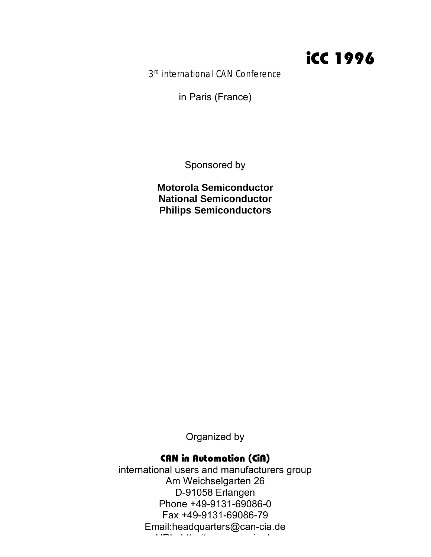3<sup>rd</sup> international CAN Conference

in Paris (France)

Sponsored by

**Motorola Semiconductor National Semiconductor Philips Semiconductors**

Organized by

#### CAN in Automation (CiA)

international users and manufacturers group Am Weichselgarten 26 D-91058 Erlangen Phone +49-9131-69086-0 Fax +49-9131-69086-79 Email:headquarters@can-cia.de URL: http://www.can-cia.de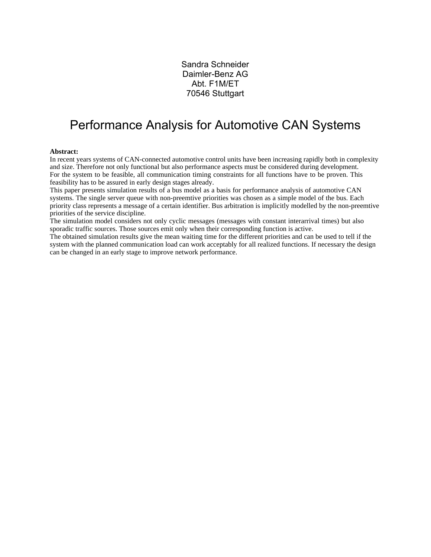Sandra Schneider Daimler-Benz AG Abt. F1M/ET 70546 Stuttgart

#### Performance Analysis for Automotive CAN Systems

#### **Abstract:**

In recent years systems of CAN-connected automotive control units have been increasing rapidly both in complexity and size. Therefore not only functional but also performance aspects must be considered during development. For the system to be feasible, all communication timing constraints for all functions have to be proven. This feasibility has to be assured in early design stages already.

This paper presents simulation results of a bus model as a basis for performance analysis of automotive CAN systems. The single server queue with non-preemtive priorities was chosen as a simple model of the bus. Each priority class represents a message of a certain identifier. Bus arbitration is implicitly modelled by the non-preemtive priorities of the service discipline.

The simulation model considers not only cyclic messages (messages with constant interarrival times) but also sporadic traffic sources. Those sources emit only when their corresponding function is active.

The obtained simulation results give the mean waiting time for the different priorities and can be used to tell if the system with the planned communication load can work acceptably for all realized functions. If necessary the design can be changed in an early stage to improve network performance.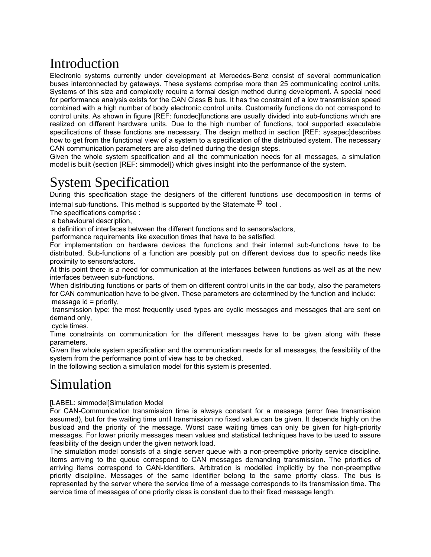# Introduction

Electronic systems currently under development at Mercedes-Benz consist of several communication buses interconnected by gateways. These systems comprise more than 25 communicating control units. Systems of this size and complexity require a formal design method during development. A special need for performance analysis exists for the CAN Class B bus. It has the constraint of a low transmission speed combined with a high number of body electronic control units. Customarily functions do not correspond to control units. As shown in figure [REF: funcdec]functions are usually divided into sub-functions which are realized on different hardware units. Due to the high number of functions, tool supported executable specifications of these functions are necessary. The design method in section [REF: sysspec]describes how to get from the functional view of a system to a specification of the distributed system. The necessary CAN communication parameters are also defined during the design steps.

Given the whole system specification and all the communication needs for all messages, a simulation model is built (section [REF: simmodel]) which gives insight into the performance of the system.

## System Specification

During this specification stage the designers of the different functions use decomposition in terms of

internal sub-functions. This method is supported by the Statemate <sup>©</sup> tool.

The specifications comprise :

a behavioural description,

a definition of interfaces between the different functions and to sensors/actors,

performance requirements like execution times that have to be satisfied.

For implementation on hardware devices the functions and their internal sub-functions have to be distributed. Sub-functions of a function are possibly put on different devices due to specific needs like proximity to sensors/actors.

At this point there is a need for communication at the interfaces between functions as well as at the new interfaces between sub-functions.

When distributing functions or parts of them on different control units in the car body, also the parameters for CAN communication have to be given. These parameters are determined by the function and include: message id = priority,

 transmission type: the most frequently used types are cyclic messages and messages that are sent on demand only,

cycle times.

Time constraints on communication for the different messages have to be given along with these parameters.

Given the whole system specification and the communication needs for all messages, the feasibility of the system from the performance point of view has to be checked.

In the following section a simulation model for this system is presented.

## Simulation

[LABEL: simmodel]Simulation Model

For CAN-Communication transmission time is always constant for a message (error free transmission assumed), but for the waiting time until transmission no fixed value can be given. It depends highly on the busload and the priority of the message. Worst case waiting times can only be given for high-priority messages. For lower priority messages mean values and statistical techniques have to be used to assure feasibility of the design under the given network load.

The simulation model consists of a single server queue with a non-preemptive priority service discipline. Items arriving to the queue correspond to CAN messages demanding transmission. The priorities of arriving items correspond to CAN-Identifiers. Arbitration is modelled implicitly by the non-preemptive priority discipline. Messages of the same identifier belong to the same priority class. The bus is represented by the server where the service time of a message corresponds to its transmission time. The service time of messages of one priority class is constant due to their fixed message length.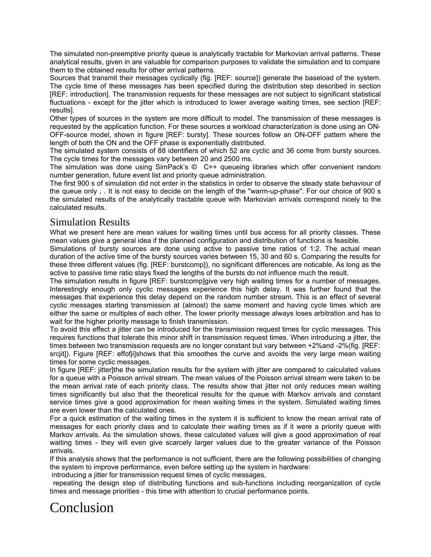The simulated non-preemptive priority queue is analytically tractable for Markovian arrival patterns. These analytical results, given in are valuable for comparison purposes to validate the simulation and to compare them to the obtained results for other arrival patterns.

Sources that transmit their messages cyclically (fig. [REF: source]) generate the baseload of the system. The cycle time of these messages has been specified during the distribution step described in section [REF: introduction]. The transmission requests for these messages are not subject to significant statistical fluctuations - except for the jitter which is introduced to lower average waiting times, see section [REF: results].

Other types of sources in the system are more difficult to model. The transmission of these messages is requested by the application function. For these sources a workload characterization is done using an ON-OFF-source model, shown in figure [REF: bursty]. These sources follow an ON-OFF pattern where the length of both the ON and the OFF phase is exponentially distributed.

The simulated system consists of 88 identifiers of which 52 are cyclic and 36 come from bursty sources. The cycle times for the messages vary between 20 and 2500 ms.

The simulation was done using SimPack's © C++ queueing libraries which offer convenient random number generation, future event list and priority queue administration.

The first 900 s of simulation did not enter in the statistics in order to observe the steady state behaviour of the queue only , . It is not easy to decide on the length of the "warm-up-phase". For our choice of 900 s the simulated results of the analytically tractable queue with Markovian arrivals correspond nicely to the calculated results.

#### Simulation Results

What we present here are mean values for waiting times until bus access for all priority classes. These mean values give a general idea if the planned configuration and distribution of functions is feasible.

Simulations of bursty sources are done using active to passive time ratios of 1:2. The actual mean duration of the active time of the bursty sources varies between 15, 30 and 60 s. Comparing the results for these three different values (fig. [REF: burstcomp]), no significant differences are noticable. As long as the active to passive time ratio stays fixed the lengths of the bursts do not influence much the result.

The simulation results in figure [REF: burstcomp]give very high waiting times for a number of messages. Interestingly enough only cyclic messages experience this high delay. It was further found that the messages that experience this delay depend on the random number stream. This is an effect of several cyclic messages starting transmission at (almost) the same moment and having cycle times which are either the same or multiples of each other. The lower priority message always loses arbitration and has to wait for the higher priority message to finish transmission.

To avoid this effect a jitter can be introduced for the transmission request times for cyclic messages. This requires functions that tolerate this minor shift in transmission request times. When introducing a jitter, the times between two transmission requests are no longer constant but vary between +2%and -2%(fig. [REF: srcjit]). Figure [REF: effofij]shows that this smoothes the curve and avoids the very large mean waiting times for some cyclic messages.

In figure [REF: jitter]the the simulation results for the system with jitter are compared to calculated values for a queue with a Poisson arrival stream. The mean values of the Poisson arrival stream were taken to be the mean arrival rate of each priority class. The results show that jitter not only reduces mean waiting times significantly but also that the theoretical results for the queue with Markov arrivals and constant service times give a good approximation for mean waiting times in the system. Simulated waiting times are even lower than the calculated ones.

For a quick estimation of the waiting times in the system it is sufficient to know the mean arrival rate of messages for each priority class and to calculate their waiting times as if it were a priority queue with Markov arrivals. As the simulation shows, these calculated values will give a good approximation of real waiting times - they will even give scarcely larger values due to the greater variance of the Poisson arrivals.

If this analysis shows that the performance is not sufficient, there are the following possibilities of changing the system to improve performance, even before setting up the system in hardware:

introducing a jitter for transmission request times of cyclic messages,

 repeating the design step of distributing functions and sub-functions including reorganization of cycle times and message priorities - this time with attention to crucial performance points.

## Conclusion